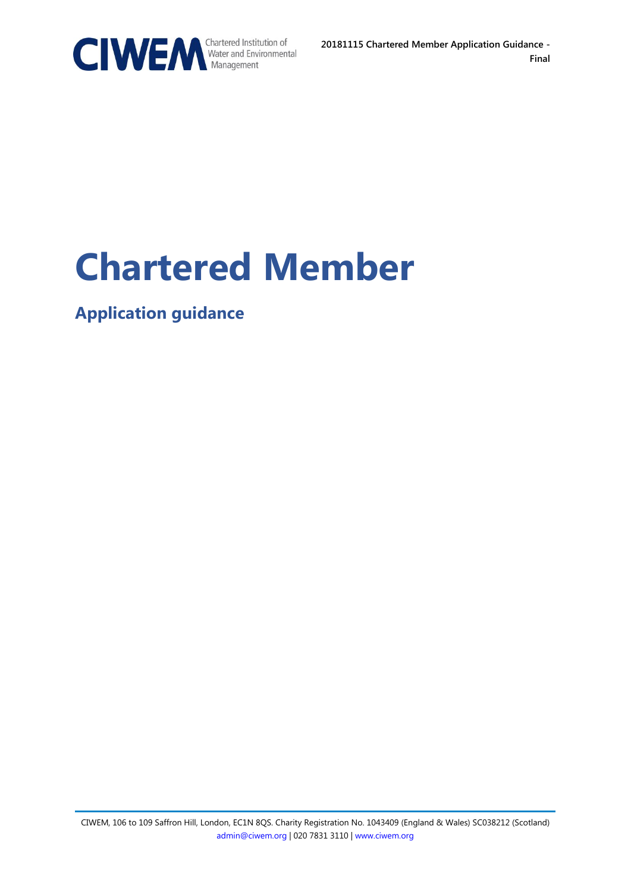

# **Chartered Member**

**Application guidance**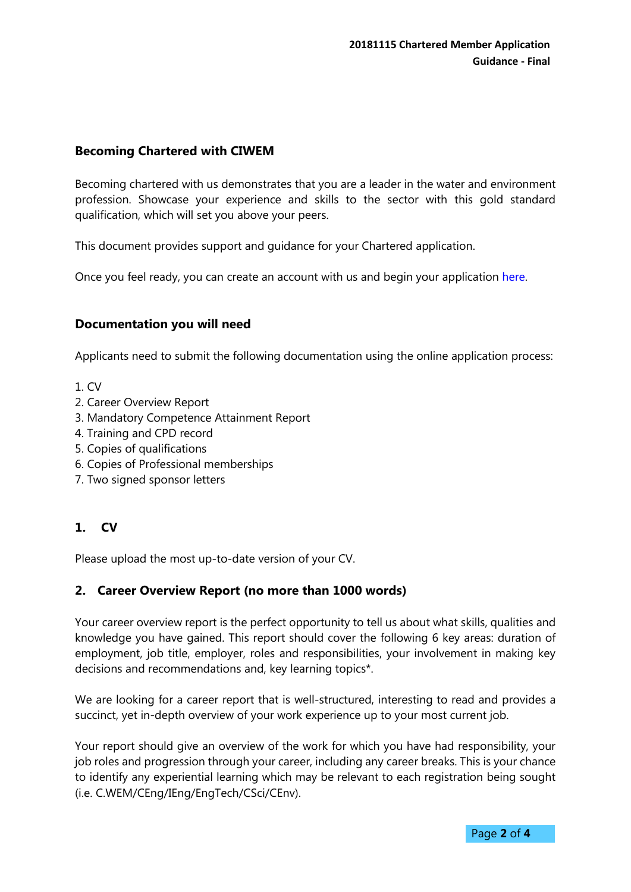#### **Becoming Chartered with CIWEM**

Becoming chartered with us demonstrates that you are a leader in the water and environment profession. Showcase your experience and skills to the sector with this gold standard qualification, which will set you above your peers.

This document provides support and guidance for your Chartered application.

Once you feel ready, you can create an account with us and begin your application [here.](https://members.ciwem.org/CIWEM_MBR/Contact_Management/Sign_In.aspx?WebsiteKey=7c95955a-2322-4494-9fc7-0858ee2f789d&LoginRedirect=true&returnurl=%2f) 

#### **Documentation you will need**

Applicants need to submit the following documentation using the online application process:

- 1. CV
- 2. Career Overview Report
- 3. Mandatory Competence Attainment Report
- 4. Training and CPD record
- 5. Copies of qualifications
- 6. Copies of Professional memberships
- 7. Two signed sponsor letters

# **1. CV**

Please upload the most up-to-date version of your CV.

#### **2. Career Overview Report (no more than 1000 words)**

Your career overview report is the perfect opportunity to tell us about what skills, qualities and knowledge you have gained. This report should cover the following 6 key areas: duration of employment, job title, employer, roles and responsibilities, your involvement in making key decisions and recommendations and, key learning topics\*.

We are looking for a career report that is well-structured, interesting to read and provides a succinct, yet in-depth overview of your work experience up to your most current job.

Your report should give an overview of the work for which you have had responsibility, your job roles and progression through your career, including any career breaks. This is your chance to identify any experiential learning which may be relevant to each registration being sought (i.e. C.WEM/CEng/IEng/EngTech/CSci/CEnv).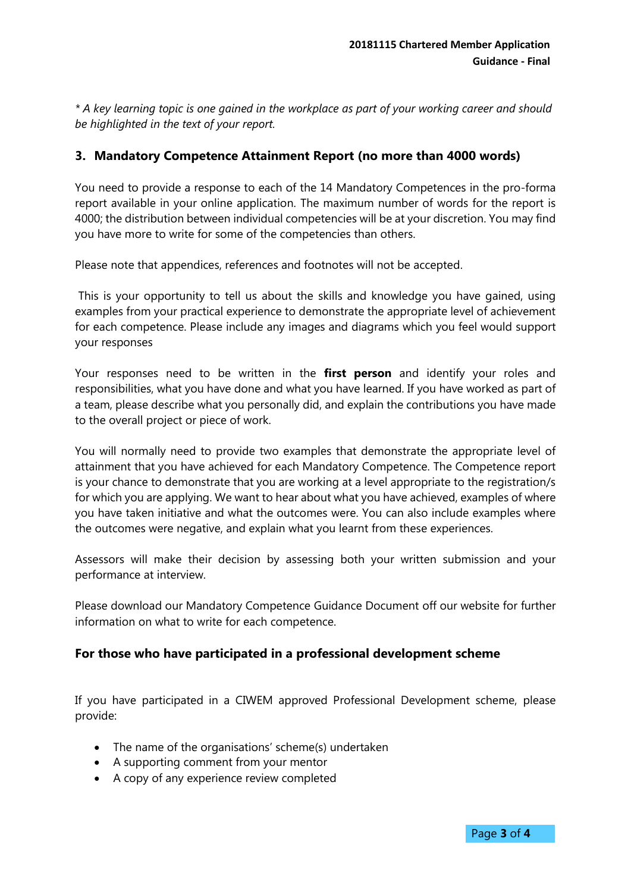*\* A key learning topic is one gained in the workplace as part of your working career and should be highlighted in the text of your report.* 

#### **3. Mandatory Competence Attainment Report (no more than 4000 words)**

You need to provide a response to each of the 14 Mandatory Competences in the pro-forma report available in your online application. The maximum number of words for the report is 4000; the distribution between individual competencies will be at your discretion. You may find you have more to write for some of the competencies than others.

Please note that appendices, references and footnotes will not be accepted.

This is your opportunity to tell us about the skills and knowledge you have gained, using examples from your practical experience to demonstrate the appropriate level of achievement for each competence. Please include any images and diagrams which you feel would support your responses

Your responses need to be written in the **first person** and identify your roles and responsibilities, what you have done and what you have learned. If you have worked as part of a team, please describe what you personally did, and explain the contributions you have made to the overall project or piece of work.

You will normally need to provide two examples that demonstrate the appropriate level of attainment that you have achieved for each Mandatory Competence. The Competence report is your chance to demonstrate that you are working at a level appropriate to the registration/s for which you are applying. We want to hear about what you have achieved, examples of where you have taken initiative and what the outcomes were. You can also include examples where the outcomes were negative, and explain what you learnt from these experiences.

Assessors will make their decision by assessing both your written submission and your performance at interview.

Please download our Mandatory Competence Guidance Document off our website for further information on what to write for each competence.

#### **For those who have participated in a professional development scheme**

If you have participated in a CIWEM approved Professional Development scheme, please provide:

- The name of the organisations' scheme(s) undertaken
- A supporting comment from your mentor
- A copy of any experience review completed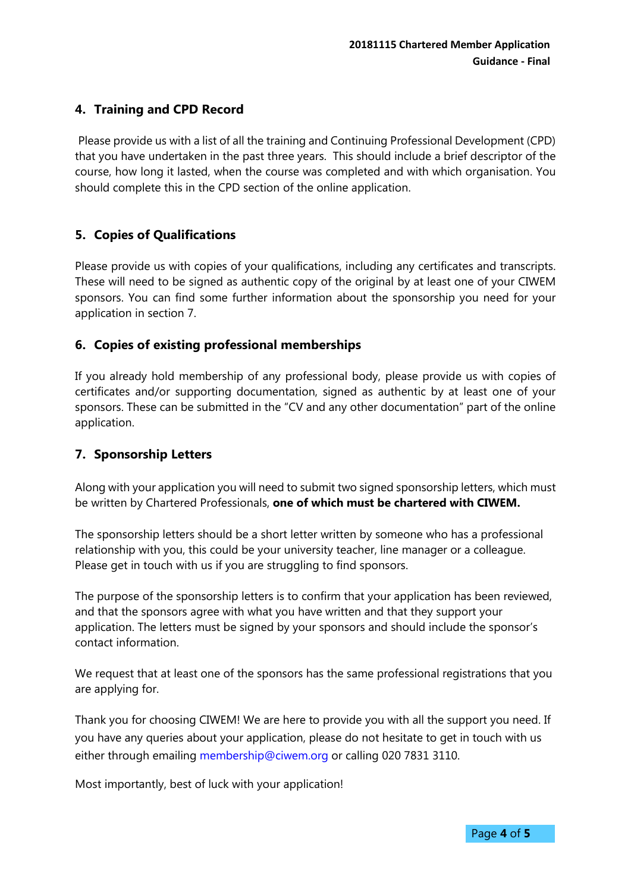# **4. Training and CPD Record**

Please provide us with a list of all the training and Continuing Professional Development (CPD) that you have undertaken in the past three years. This should include a brief descriptor of the course, how long it lasted, when the course was completed and with which organisation. You should complete this in the CPD section of the online application.

## **5. Copies of Qualifications**

Please provide us with copies of your qualifications, including any certificates and transcripts. These will need to be signed as authentic copy of the original by at least one of your CIWEM sponsors. You can find some further information about the sponsorship you need for your application in section 7.

## **6. Copies of existing professional memberships**

If you already hold membership of any professional body, please provide us with copies of certificates and/or supporting documentation, signed as authentic by at least one of your sponsors. These can be submitted in the "CV and any other documentation" part of the online application.

## **7. Sponsorship Letters**

Along with your application you will need to submit two signed sponsorship letters, which must be written by Chartered Professionals, **one of which must be chartered with CIWEM.**

The sponsorship letters should be a short letter written by someone who has a professional relationship with you, this could be your university teacher, line manager or a colleague. Please get in touch with us if you are struggling to find sponsors.

The purpose of the sponsorship letters is to confirm that your application has been reviewed, and that the sponsors agree with what you have written and that they support your application. The letters must be signed by your sponsors and should include the sponsor's contact information.

We request that at least one of the sponsors has the same professional registrations that you are applying for.

Thank you for choosing CIWEM! We are here to provide you with all the support you need. If you have any queries about your application, please do not hesitate to get in touch with us either through emailing [membership@ciwem.org](mailto:membership@ciwem.org) or calling 020 7831 3110.

Most importantly, best of luck with your application!